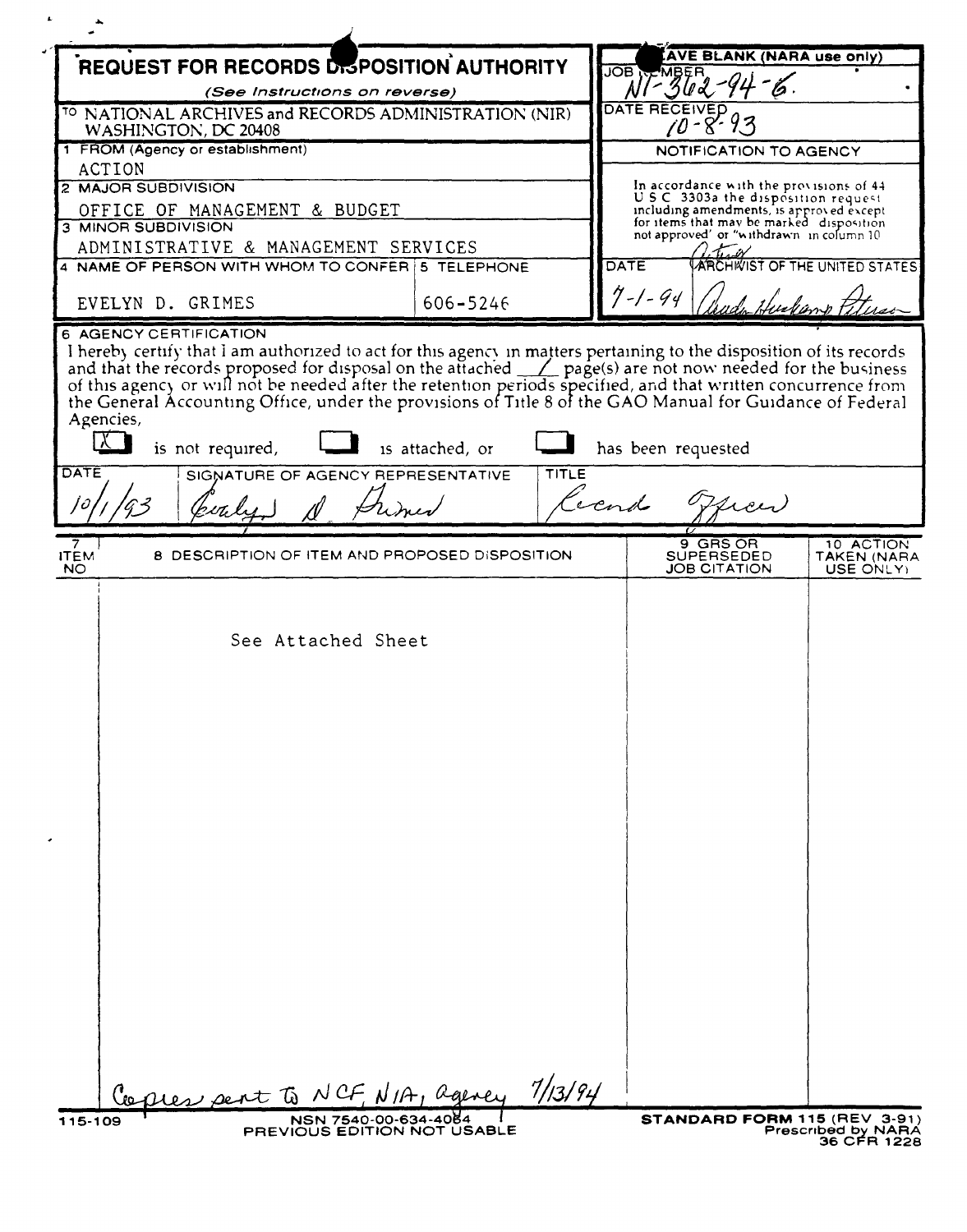| REQUEST FOR RECORDS DISPOSITION AUTHORITY<br><b>JOB</b>                                                                                                                                                                                                                                                                      |                 | <b>AVE BLANK (NARA use only)</b><br>MBER |                                                                                      |                                        |
|------------------------------------------------------------------------------------------------------------------------------------------------------------------------------------------------------------------------------------------------------------------------------------------------------------------------------|-----------------|------------------------------------------|--------------------------------------------------------------------------------------|----------------------------------------|
| (See Instructions on reverse)                                                                                                                                                                                                                                                                                                |                 |                                          |                                                                                      |                                        |
| <sup>TO</sup> NATIONAL ARCHIVES and RECORDS ADMINISTRATION (NIR)<br>WASHINGTON, DC 20408                                                                                                                                                                                                                                     |                 |                                          | DATE                                                                                 |                                        |
| 1 FROM (Agency or establishment)                                                                                                                                                                                                                                                                                             |                 |                                          | NOTIFICATION TO AGENCY                                                               |                                        |
| ACTION                                                                                                                                                                                                                                                                                                                       |                 |                                          |                                                                                      |                                        |
| 2 MAJOR SUBDIVISION                                                                                                                                                                                                                                                                                                          |                 |                                          | In accordance with the provisions of 44<br>U.S.C. 3303a the disposition request.     |                                        |
| OFFICE OF MANAGEMENT & BUDGET<br><b>3 MINOR SUBDIVISION</b>                                                                                                                                                                                                                                                                  |                 |                                          | including amendments, is approved except<br>for items that may be marked disposition |                                        |
| ADMINISTRATIVE & MANAGEMENT SERVICES                                                                                                                                                                                                                                                                                         |                 |                                          | not approved' or "withdrawn in column 10                                             |                                        |
| 4 NAME OF PERSON WITH WHOM TO CONFER   5 TELEPHONE                                                                                                                                                                                                                                                                           |                 | <b>DATE</b>                              |                                                                                      | ARCHIVIST OF THE UNITED STATES         |
| EVELYN D. GRIMES                                                                                                                                                                                                                                                                                                             | 606-5246        |                                          | $7 - 1 - 94$                                                                         |                                        |
| 6 AGENCY CERTIFICATION                                                                                                                                                                                                                                                                                                       |                 |                                          |                                                                                      |                                        |
| I hereby certify that I am authorized to act for this agency in matters pertaining to the disposition of its records and that the records proposed for disposal on the attached $\angle$ page(s) are not now needed for the busine<br>Agencies,<br>  X    <br>is not required,<br>DATE<br>SIGNATURE OF AGENCY REPRESENTATIVE | is attached, or | <b>TITLE</b>                             | has been requested<br>Coend of                                                       |                                        |
|                                                                                                                                                                                                                                                                                                                              |                 |                                          |                                                                                      |                                        |
| 8 DESCRIPTION OF ITEM AND PROPOSED DISPOSITION<br><b>ITEM</b><br><b>NO</b>                                                                                                                                                                                                                                                   |                 |                                          | 9 GRS OR<br><b>SUPERSEDED</b><br><b>JOB CITATION</b>                                 | 10 ACTION<br>TAKEN (NARA<br>USE ONLY). |
| See Attached Sheet                                                                                                                                                                                                                                                                                                           |                 |                                          |                                                                                      |                                        |
| Copies pent to NCF, NIA, agency                                                                                                                                                                                                                                                                                              |                 | 7/13/94                                  |                                                                                      |                                        |